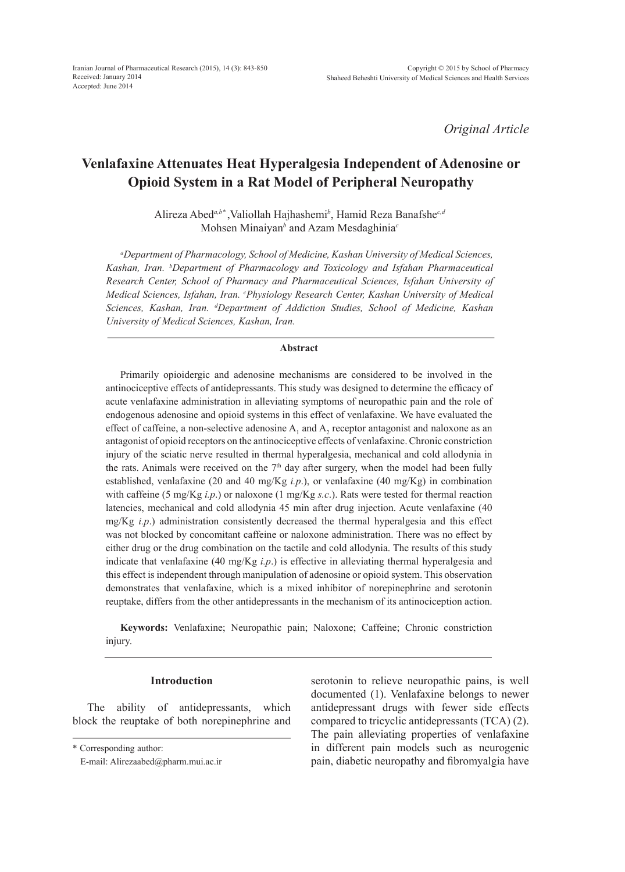*Original Article*

# **Venlafaxine Attenuates Heat Hyperalgesia Independent of Adenosine or Opioid System in a Rat Model of Peripheral Neuropathy**

Alireza Abed*a,b\** ,Valiollah Hajhashemi*<sup>b</sup>* , Hamid Reza Banafshe*c,d* Mohsen Minaiyan*<sup>b</sup>* and Azam Mesdaghinia*<sup>c</sup>*

*a Department of Pharmacology, School of Medicine, Kashan University of Medical Sciences, Kashan, Iran. b Department of Pharmacology and Toxicology and Isfahan Pharmaceutical Research Center, School of Pharmacy and Pharmaceutical Sciences, Isfahan University of Medical Sciences, Isfahan, Iran. c Physiology Research Center, Kashan University of Medical Sciences, Kashan, Iran. d Department of Addiction Studies, School of Medicine, Kashan University of Medical Sciences, Kashan, Iran.*

### **Abstract**

Primarily opioidergic and adenosine mechanisms are considered to be involved in the antinociceptive effects of antidepressants. This study was designed to determine the efficacy of acute venlafaxine administration in alleviating symptoms of neuropathic pain and the role of endogenous adenosine and opioid systems in this effect of venlafaxine. We have evaluated the effect of caffeine, a non-selective adenosine  $A_1$  and  $A_2$  receptor antagonist and naloxone as an antagonist of opioid receptors on the antinociceptive effects of venlafaxine. Chronic constriction injury of the sciatic nerve resulted in thermal hyperalgesia, mechanical and cold allodynia in the rats. Animals were received on the  $7<sup>th</sup>$  day after surgery, when the model had been fully established, venlafaxine (20 and 40 mg/Kg *i.p*.), or venlafaxine (40 mg/Kg) in combination with caffeine (5 mg/Kg *i.p*.) or naloxone (1 mg/Kg *s.c*.). Rats were tested for thermal reaction latencies, mechanical and cold allodynia 45 min after drug injection. Acute venlafaxine (40 mg/Kg *i.p*.) administration consistently decreased the thermal hyperalgesia and this effect was not blocked by concomitant caffeine or naloxone administration. There was no effect by either drug or the drug combination on the tactile and cold allodynia. The results of this study indicate that venlafaxine (40 mg/Kg *i.p*.) is effective in alleviating thermal hyperalgesia and this effect is independent through manipulation of adenosine or opioid system. This observation demonstrates that venlafaxine, which is a mixed inhibitor of norepinephrine and serotonin reuptake, differs from the other antidepressants in the mechanism of its antinociception action.

**Keywords:** Venlafaxine; Neuropathic pain; Naloxone; Caffeine; Chronic constriction injury.

## **Introduction**

The ability of antidepressants, which block the reuptake of both norepinephrine and

serotonin to relieve neuropathic pains, is well documented (1). Venlafaxine belongs to newer antidepressant drugs with fewer side effects compared to tricyclic antidepressants (TCA) (2). The pain alleviating properties of venlafaxine in different pain models such as neurogenic pain, diabetic neuropathy and fibromyalgia have

<sup>\*</sup> Corresponding author:

E-mail: Alirezaabed@pharm.mui.ac.ir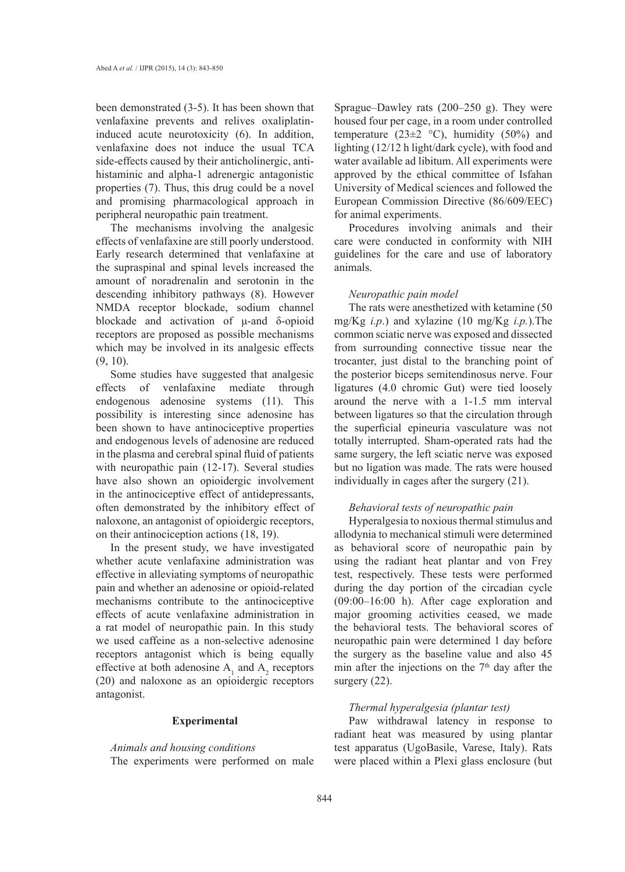been demonstrated (3-5). It has been shown that venlafaxine prevents and relives oxaliplatininduced acute neurotoxicity (6). In addition, venlafaxine does not induce the usual TCA side-effects caused by their anticholinergic, antihistaminic and alpha-1 adrenergic antagonistic properties (7). Thus, this drug could be a novel and promising pharmacological approach in peripheral neuropathic pain treatment.

The mechanisms involving the analgesic effects of venlafaxine are still poorly understood. Early research determined that venlafaxine at the supraspinal and spinal levels increased the amount of noradrenalin and serotonin in the descending inhibitory pathways (8). However NMDA receptor blockade, sodium channel blockade and activation of μ-and δ-opioid receptors are proposed as possible mechanisms which may be involved in its analgesic effects (9, 10).

Some studies have suggested that analgesic effects of venlafaxine mediate through endogenous adenosine systems (11). This possibility is interesting since adenosine has been shown to have antinociceptive properties and endogenous levels of adenosine are reduced in the plasma and cerebral spinal fluid of patients with neuropathic pain (12-17). Several studies have also shown an opioidergic involvement in the antinociceptive effect of antidepressants, often demonstrated by the inhibitory effect of naloxone, an antagonist of opioidergic receptors, on their antinociception actions (18, 19).

In the present study, we have investigated whether acute venlafaxine administration was effective in alleviating symptoms of neuropathic pain and whether an adenosine or opioid-related mechanisms contribute to the antinociceptive effects of acute venlafaxine administration in a rat model of neuropathic pain. In this study we used caffeine as a non-selective adenosine receptors antagonist which is being equally effective at both adenosine  $A_1$  and  $A_2$  receptors (20) and naloxone as an opioidergic receptors antagonist.

#### **Experimental**

*Animals and housing conditions* The experiments were performed on male Sprague–Dawley rats (200–250 g). They were housed four per cage, in a room under controlled temperature (23 $\pm$ 2 °C), humidity (50%) and lighting (12/12 h light/dark cycle), with food and water available ad libitum. All experiments were approved by the ethical committee of Isfahan University of Medical sciences and followed the European Commission Directive (86/609/EEC) for animal experiments.

Procedures involving animals and their care were conducted in conformity with NIH guidelines for the care and use of laboratory animals.

#### *Neuropathic pain model*

The rats were anesthetized with ketamine (50 mg/Kg *i.p*.) and xylazine (10 mg/Kg *i.p.*).The common sciatic nerve was exposed and dissected from surrounding connective tissue near the trocanter, just distal to the branching point of the posterior biceps semitendinosus nerve. Four ligatures (4.0 chromic Gut) were tied loosely around the nerve with a 1-1.5 mm interval between ligatures so that the circulation through the superficial epineuria vasculature was not totally interrupted. Sham-operated rats had the same surgery, the left sciatic nerve was exposed but no ligation was made. The rats were housed individually in cages after the surgery (21).

## *Behavioral tests of neuropathic pain*

Hyperalgesia to noxious thermal stimulus and allodynia to mechanical stimuli were determined as behavioral score of neuropathic pain by using the radiant heat plantar and von Frey test, respectively. These tests were performed during the day portion of the circadian cycle (09:00–16:00 h). After cage exploration and major grooming activities ceased, we made the behavioral tests. The behavioral scores of neuropathic pain were determined 1 day before the surgery as the baseline value and also 45 min after the injections on the  $7<sup>th</sup>$  day after the surgery  $(22)$ .

# *Thermal hyperalgesia (plantar test)*

Paw withdrawal latency in response to radiant heat was measured by using plantar test apparatus (UgoBasile, Varese, Italy). Rats were placed within a Plexi glass enclosure (but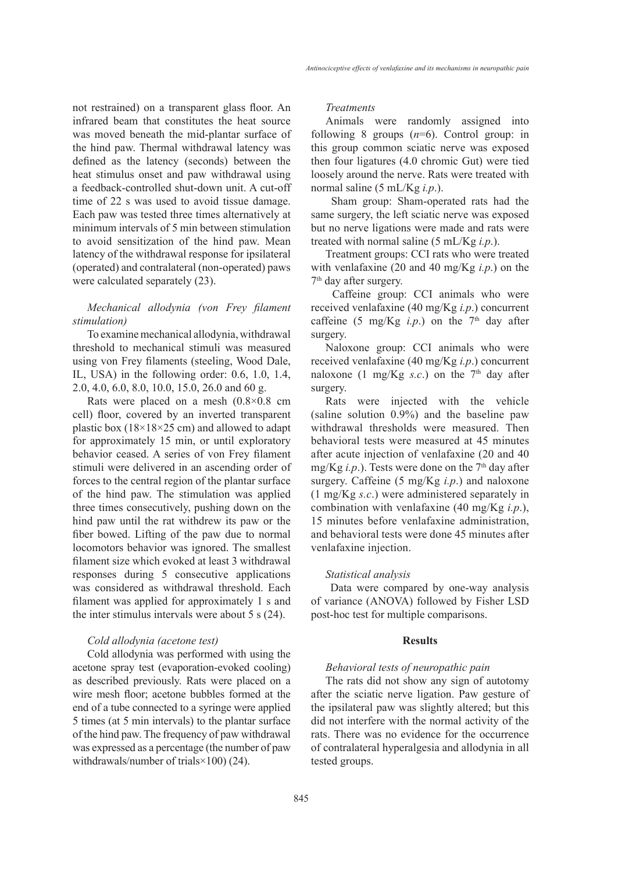not restrained) on a transparent glass floor. An infrared beam that constitutes the heat source was moved beneath the mid-plantar surface of the hind paw. Thermal withdrawal latency was defined as the latency (seconds) between the heat stimulus onset and paw withdrawal using a feedback-controlled shut-down unit. A cut-off time of 22 s was used to avoid tissue damage. Each paw was tested three times alternatively at minimum intervals of 5 min between stimulation to avoid sensitization of the hind paw. Mean latency of the withdrawal response for ipsilateral (operated) and contralateral (non-operated) paws were calculated separately (23).

# *Mechanical allodynia (von Frey filament stimulation)*

To examine mechanical allodynia, withdrawal threshold to mechanical stimuli was measured using von Frey filaments (steeling, Wood Dale, IL, USA) in the following order: 0.6, 1.0, 1.4, 2.0, 4.0, 6.0, 8.0, 10.0, 15.0, 26.0 and 60 g.

Rats were placed on a mesh  $(0.8\times0.8$  cm cell) floor, covered by an inverted transparent plastic box ( $18\times18\times25$  cm) and allowed to adapt for approximately 15 min, or until exploratory behavior ceased. A series of von Frey filament stimuli were delivered in an ascending order of forces to the central region of the plantar surface of the hind paw. The stimulation was applied three times consecutively, pushing down on the hind paw until the rat withdrew its paw or the fiber bowed. Lifting of the paw due to normal locomotors behavior was ignored. The smallest filament size which evoked at least 3 withdrawal responses during 5 consecutive applications was considered as withdrawal threshold. Each filament was applied for approximately 1 s and the inter stimulus intervals were about 5 s (24).

# *Cold allodynia (acetone test)*

Cold allodynia was performed with using the acetone spray test (evaporation-evoked cooling) as described previously. Rats were placed on a wire mesh floor; acetone bubbles formed at the end of a tube connected to a syringe were applied 5 times (at 5 min intervals) to the plantar surface of the hind paw. The frequency of paw withdrawal was expressed as a percentage (the number of paw withdrawals/number of trials×100) (24).

## *Treatments*

Animals were randomly assigned into following 8 groups (*n*=6). Control group: in this group common sciatic nerve was exposed then four ligatures (4.0 chromic Gut) were tied loosely around the nerve. Rats were treated with normal saline (5 mL/Kg *i.p*.).

 Sham group: Sham-operated rats had the same surgery, the left sciatic nerve was exposed but no nerve ligations were made and rats were treated with normal saline (5 mL/Kg *i.p*.).

Treatment groups: CCI rats who were treated with venlafaxine (20 and 40 mg/Kg *i.p*.) on the 7<sup>th</sup> day after surgery.

 Caffeine group: CCI animals who were received venlafaxine (40 mg/Kg *i.p*.) concurrent caffeine (5 mg/Kg *i.p.*) on the  $7<sup>th</sup>$  day after surgery.

Naloxone group: CCI animals who were received venlafaxine (40 mg/Kg *i.p*.) concurrent naloxone (1 mg/Kg *s.c.*) on the  $7<sup>th</sup>$  day after surgery.

Rats were injected with the vehicle (saline solution 0.9%) and the baseline paw withdrawal thresholds were measured. Then behavioral tests were measured at 45 minutes after acute injection of venlafaxine (20 and 40 mg/Kg *i.p.*). Tests were done on the 7<sup>th</sup> day after surgery. Caffeine (5 mg/Kg *i.p*.) and naloxone (1 mg/Kg *s.c*.) were administered separately in combination with venlafaxine (40 mg/Kg *i.p*.), 15 minutes before venlafaxine administration, and behavioral tests were done 45 minutes after venlafaxine injection.

#### *Statistical analysis*

 Data were compared by one-way analysis of variance (ANOVA) followed by Fisher LSD post-hoc test for multiple comparisons.

# **Results**

### *Behavioral tests of neuropathic pain*

The rats did not show any sign of autotomy after the sciatic nerve ligation. Paw gesture of the ipsilateral paw was slightly altered; but this did not interfere with the normal activity of the rats. There was no evidence for the occurrence of contralateral hyperalgesia and allodynia in all tested groups.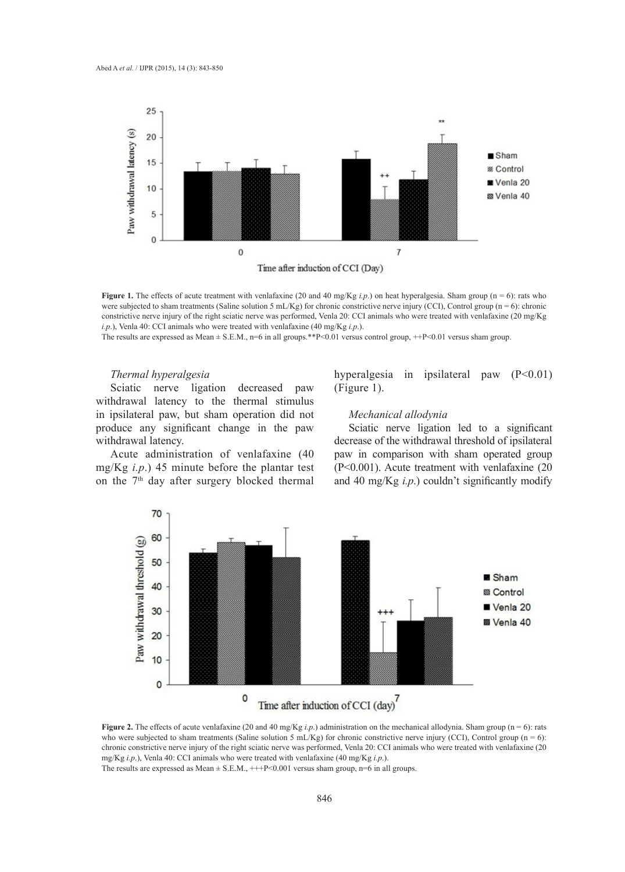

**Figure 1.** The effects of acute treatment with venlafaxine (20 and 40 mg/Kg *i.p.*) on heat hyperalgesia. Sham group (n = 6): rats who were subjected to sham treatments (Saline solution 5 mL/Kg) for chronic constrictive nerve injury (CCI), Control group (n = 6): chronic constrictive nerve injury of the right sciatic nerve was performed, Venla 20: CCI animals who were treated with venlafaxine (20 mg/Kg *i.p*.), Venla 40: CCI animals who were treated with venlafaxine (40 mg/Kg *i.p*.).

The results are expressed as Mean  $\pm$  S.E.M., n=6 in all groups.\*\*P<0.01 versus control group, ++P<0.01 versus sham group.

#### *Thermal hyperalgesia*

Sciatic nerve ligation decreased paw withdrawal latency to the thermal stimulus in ipsilateral paw, but sham operation did not produce any significant change in the paw withdrawal latency.

Acute administration of venlafaxine (40 mg/Kg *i.p*.) 45 minute before the plantar test on the  $7<sup>th</sup>$  day after surgery blocked thermal hyperalgesia in ipsilateral paw (P<0.01) (Figure 1).

## *Mechanical allodynia*

Sciatic nerve ligation led to a significant decrease of the withdrawal threshold of ipsilateral paw in comparison with sham operated group (P<0.001). Acute treatment with venlafaxine (20 and 40 mg/Kg *i.p*.) couldn't significantly modify



**Figure 2.** The effects of acute venlafaxine (20 and 40 mg/Kg *i.p.*) administration on the mechanical allodynia. Sham group (n = 6): rats who were subjected to sham treatments (Saline solution 5 mL/Kg) for chronic constrictive nerve injury (CCI), Control group ( $n = 6$ ): chronic constrictive nerve injury of the right sciatic nerve was performed, Venla 20: CCI animals who were treated with venlafaxine (20 mg/Kg *i.p*.), Venla 40: CCI animals who were treated with venlafaxine (40 mg/Kg *i.p*.). The results are expressed as Mean  $\pm$  S.E.M.,  $+++P<0.001$  versus sham group, n=6 in all groups.

846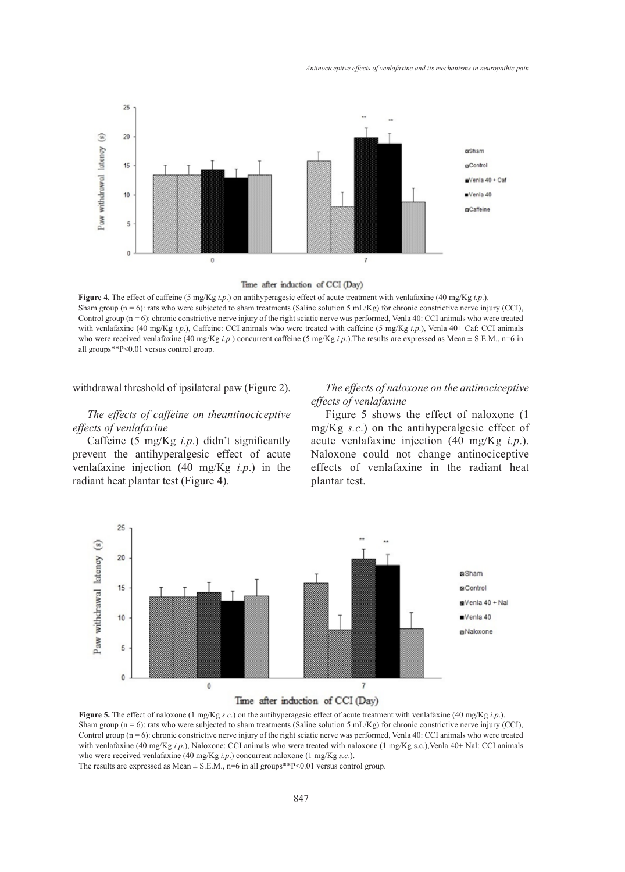

Time after induction of CCI (Day)

**Figure 4.** The effect of caffeine (5 mg/Kg *i.p*.) on antihyperagesic effect of acute treatment with venlafaxine (40 mg/Kg *i.p*.). Sham group ( $n = 6$ ): rats who were subjected to sham treatments (Saline solution 5 mL/Kg) for chronic constrictive nerve injury (CCI), Control group (n = 6): chronic constrictive nerve injury of the right sciatic nerve was performed, Venla 40: CCI animals who were treated with venlafaxine (40 mg/Kg *i.p*.), Caffeine: CCI animals who were treated with caffeine (5 mg/Kg *i.p*.), Venla 40+ Caf: CCI animals who were received venlafaxine (40 mg/Kg *i.p.*) concurrent caffeine (5 mg/Kg *i.p.*). The results are expressed as Mean  $\pm$  S.E.M., n=6 in all groups\*\*P<0.01 versus control group.

withdrawal threshold of ipsilateral paw (Figure 2).

# *The effects of caffeine on theantinociceptive effects of venlafaxine*

Caffeine (5 mg/Kg *i.p*.) didn't significantly prevent the antihyperalgesic effect of acute venlafaxine injection (40 mg/Kg *i.p*.) in the radiant heat plantar test (Figure 4).

# *The effects of naloxone on the antinociceptive effects of venlafaxine*

Figure 5 shows the effect of naloxone (1 mg/Kg *s.c*.) on the antihyperalgesic effect of acute venlafaxine injection (40 mg/Kg *i.p*.). Naloxone could not change antinociceptive effects of venlafaxine in the radiant heat plantar test.



#### Time after induction of CCI (Day)

**Figure 5.** The effect of naloxone (1 mg/Kg *s.c*.) on the antihyperagesic effect of acute treatment with venlafaxine (40 mg/Kg *i.p*.). Sham group (n = 6): rats who were subjected to sham treatments (Saline solution 5 mL/Kg) for chronic constrictive nerve injury (CCI), Control group  $(n = 6)$ : chronic constrictive nerve injury of the right sciatic nerve was performed, Venla 40: CCI animals who were treated with venlafaxine (40 mg/Kg *i.p.*), Naloxone: CCI animals who were treated with naloxone (1 mg/Kg s.c.), Venla 40+ Nal: CCI animals who were received venlafaxine (40 mg/Kg *i.p*.) concurrent naloxone (1 mg/Kg *s.c*.).

The results are expressed as Mean  $\pm$  S.E.M., n=6 in all groups\*\*P<0.01 versus control group.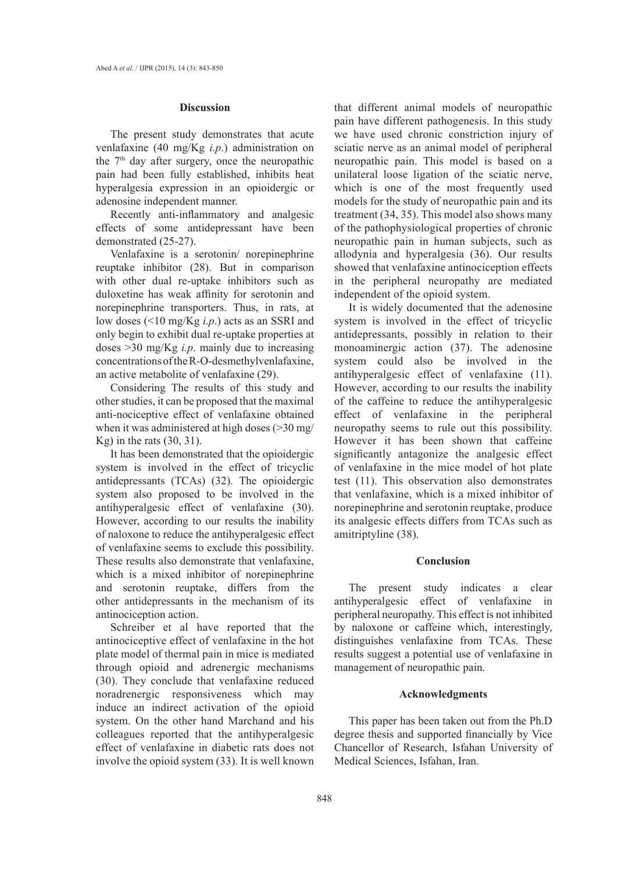#### **Discussion**

The present study demonstrates that acute venlafaxine (40 mg/Kg *i.p*.) administration on the 7<sup>th</sup> day after surgery, once the neuropathic pain had been fully established, inhibits heat hyperalgesia expression in an opioidergic or adenosine independent manner.

Recently anti-inflammatory and analgesic effects of some antidepressant have been demonstrated (25-27).

Venlafaxine is a serotonin/ norepinephrine reuptake inhibitor (28). But in comparison with other dual re-uptake inhibitors such as duloxetine has weak affinity for serotonin and norepinephrine transporters. Thus, in rats, at low doses (<10 mg/Kg *i.p*.) acts as an SSRI and only begin to exhibit dual re-uptake properties at doses >30 mg/Kg *i.p*. mainly due to increasing concentrations of the R-O-desmethylvenlafaxine, an active metabolite of venlafaxine (29).

Considering The results of this study and other studies, it can be proposed that the maximal anti-nociceptive effect of venlafaxine obtained when it was administered at high doses (>30 mg/ Kg) in the rats  $(30, 31)$ .

It has been demonstrated that the opioidergic system is involved in the effect of tricyclic antidepressants (TCAs) (32). The opioidergic system also proposed to be involved in the antihyperalgesic effect of venlafaxine (30). However, according to our results the inability of naloxone to reduce the antihyperalgesic effect of venlafaxine seems to exclude this possibility. These results also demonstrate that venlafaxine, which is a mixed inhibitor of norepinephrine and serotonin reuptake, differs from the other antidepressants in the mechanism of its antinociception action.

Schreiber et al have reported that the antinociceptive effect of venlafaxine in the hot plate model of thermal pain in mice is mediated through opioid and adrenergic mechanisms (30). They conclude that venlafaxine reduced noradrenergic responsiveness which may induce an indirect activation of the opioid system. On the other hand Marchand and his colleagues reported that the antihyperalgesic effect of venlafaxine in diabetic rats does not involve the opioid system (33). It is well known that different animal models of neuropathic pain have different pathogenesis. In this study we have used chronic constriction injury of sciatic nerve as an animal model of peripheral neuropathic pain. This model is based on a unilateral loose ligation of the sciatic nerve, which is one of the most frequently used models for the study of neuropathic pain and its treatment (34, 35). This model also shows many of the pathophysiological properties of chronic neuropathic pain in human subjects, such as allodynia and hyperalgesia (36). Our results showed that venlafaxine antinociception effects in the peripheral neuropathy are mediated independent of the opioid system.

It is widely documented that the adenosine system is involved in the effect of tricyclic antidepressants, possibly in relation to their monoaminergic action (37). The adenosine system could also be involved in the antihyperalgesic effect of venlafaxine (11). However, according to our results the inability of the caffeine to reduce the antihyperalgesic effect of venlafaxine in the peripheral neuropathy seems to rule out this possibility. However it has been shown that caffeine significantly antagonize the analgesic effect of venlafaxine in the mice model of hot plate test (11). This observation also demonstrates that venlafaxine, which is a mixed inhibitor of norepinephrine and serotonin reuptake, produce its analgesic effects differs from TCAs such as amitriptyline (38).

## **Conclusion**

The present study indicates a clear antihyperalgesic effect of venlafaxine in peripheral neuropathy. This effect is not inhibited by naloxone or caffeine which, interestingly, distinguishes venlafaxine from TCAs. These results suggest a potential use of venlafaxine in management of neuropathic pain.

## **Acknowledgments**

This paper has been taken out from the Ph.D degree thesis and supported financially by Vice Chancellor of Research, Isfahan University of Medical Sciences, Isfahan, Iran.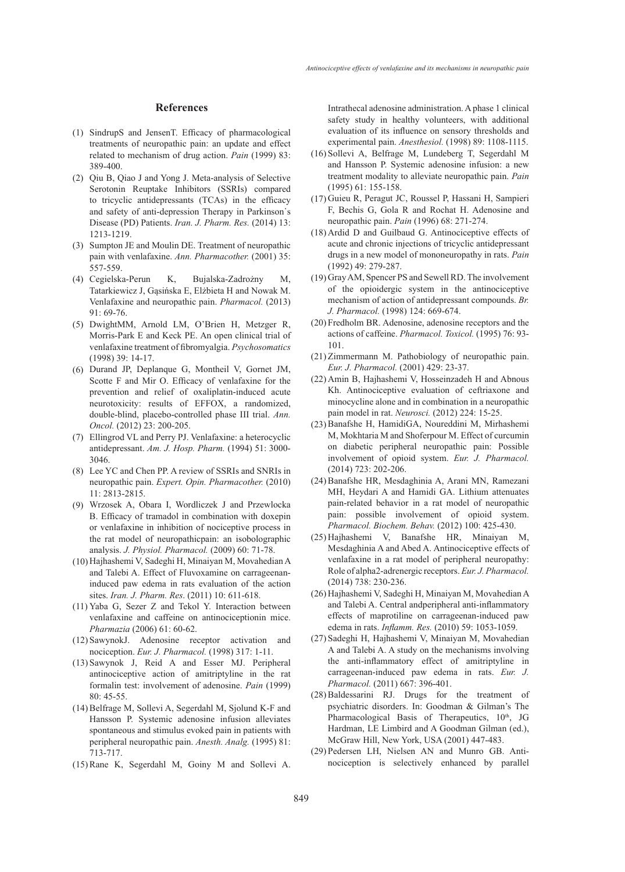#### **References**

- (1) SindrupS and JensenT. Efficacy of pharmacological treatments of neuropathic pain: an update and effect related to mechanism of drug action. *Pain* (1999) 83: 389-400.
- Qiu B, Qiao J and Yong J. Meta-analysis of Selective (2) Serotonin Reuptake Inhibitors (SSRIs) compared to tricyclic antidepressants (TCAs) in the efficacy and safety of anti-depression Therapy in Parkinson᾽s Disease (PD) Patients. *Iran. J. Pharm. Res.* (2014) 13: 1213-1219.
- (3) Sumpton JE and Moulin DE. Treatment of neuropathic pain with venlafaxine. *Ann. Pharmacother.* (2001) 35: 557-559.
- K, Bujalska-Zadrożny M, Tatarkiewicz J, Gąsińska E, Elżbieta H and Nowak M. Venlafaxine and neuropathic pain. *Pharmacol.* (2013) 91: 69-76. (4) Cegielska-Perun
- DwightMM, Arnold LM, O'Brien H, Metzger R, (5) Morris-Park E and Keck PE. An open clinical trial of venlafaxine treatment of fibromyalgia. *Psychosomatics* (1998) 39: 14-17.
- (6) Durand JP, Deplanque G, Montheil V, Gornet JM, Scotte F and Mir O. Efficacy of venlafaxine for the prevention and relief of oxaliplatin-induced acute neurotoxicity: results of EFFOX, a randomized, double-blind, placebo-controlled phase III trial. *Ann. Oncol.* (2012) 23: 200-205.
- Ellingrod VL and Perry PJ. Venlafaxine: a heterocyclic (7) antidepressant. *Am. J. Hosp. Pharm.* (1994) 51: 3000- 3046.
- Lee YC and Chen PP. A review of SSRIs and SNRIs in (8) neuropathic pain. *Expert. Opin. Pharmacother.* (2010) 11: 2813-2815.
- Wrzosek A, Obara I, Wordliczek J and Przewlocka (9) B. Efficacy of tramadol in combination with doxepin or venlafaxine in inhibition of nociceptive process in the rat model of neuropathicpain: an isobolographic analysis. *J. Physiol. Pharmacol.* (2009) 60: 71-78.
- (10) Hajhashemi V, Sadeghi H, Minaiyan M, Movahedian A and Talebi A. Effect of Fluvoxamine on carrageenaninduced paw edema in rats evaluation of the action sites. *Iran. J. Pharm. Res*. (2011) 10: 611-618.
- $(11)$  Yaba G, Sezer Z and Tekol Y. Interaction between venlafaxine and caffeine on antinociceptionin mice. *Pharmazia* (2006) 61: 60-62.
- (12) SawynokJ. Adenosine receptor activation and nociception. *Eur. J. Pharmacol.* (1998) 317: 1-11.
- (13) Sawynok J, Reid A and Esser MJ. Peripheral antinociceptive action of amitriptyline in the rat formalin test: involvement of adenosine. *Pain* (1999) 80: 45-55.
- (14) Belfrage M, Sollevi A, Segerdahl M, Sjolund K-F and Hansson P. Systemic adenosine infusion alleviates spontaneous and stimulus evoked pain in patients with peripheral neuropathic pain. *Anesth. Analg.* (1995) 81: 713-717.
- $(15)$  Rane K, Segerdahl M, Goiny M and Sollevi A.

Intrathecal adenosine administration. A phase 1 clinical safety study in healthy volunteers, with additional evaluation of its influence on sensory thresholds and experimental pain. *Anesthesiol.* (1998) 89: 1108-1115.

- (16) Sollevi A, Belfrage M, Lundeberg T, Segerdahl M and Hansson P. Systemic adenosine infusion: a new treatment modality to alleviate neuropathic pain. *Pain* (1995) 61: 155-158.
- (17) Guieu R, Peragut JC, Roussel P, Hassani H, Sampieri F, Bechis G, Gola R and Rochat H. Adenosine and neuropathic pain. *Pain* (1996) 68: 271-274.
- $(18)$  Ardid D and Guilbaud G. Antinociceptive effects of acute and chronic injections of tricyclic antidepressant drugs in a new model of mononeuropathy in rats. *Pain* (1992) 49: 279-287.
- (19) Gray AM, Spencer PS and Sewell RD. The involvement of the opioidergic system in the antinociceptive mechanism of action of antidepressant compounds. *Br. J. Pharmacol.* (1998) 124: 669-674.
- (20) Fredholm BR. Adenosine, adenosine receptors and the actions of caffeine. *Pharmacol. Toxicol.* (1995) 76: 93- 101.
- $(21)$  Zimmermann M. Pathobiology of neuropathic pain. *Eur. J. Pharmacol.* (2001) 429: 23-37.
- (22) Amin B, Hajhashemi V, Hosseinzadeh H and Abnous Kh. Antinociceptive evaluation of ceftriaxone and minocycline alone and in combination in a neuropathic pain model in rat. *Neurosci.* (2012) 224: 15-25.
- (23) Banafshe H, HamidiGA, Noureddini M, Mirhashemi M, Mokhtaria M and Shoferpour M. Effect of curcumin on diabetic peripheral neuropathic pain: Possible involvement of opioid system. *Eur. J. Pharmacol.* (2014) 723: 202-206.
- (24) Banafshe HR, Mesdaghinia A, Arani MN, Ramezani MH, Heydari A and Hamidi GA. Lithium attenuates pain-related behavior in a rat model of neuropathic pain: possible involvement of opioid system. *Pharmacol. Biochem. Behav.* (2012) 100: 425-430.
- (25) Hajhashemi V, Banafshe HR, Minaiyan M, Mesdaghinia A and Abed A. Antinociceptive effects of venlafaxine in a rat model of peripheral neuropathy: Role of alpha2-adrenergic receptors. *Eur. J. Pharmacol.*  (2014) 738: 230-236.
- (26) Hajhashemi V, Sadeghi H, Minaiyan M, Movahedian A and Talebi A. Central andperipheral anti-inflammatory effects of maprotiline on carrageenan-induced paw edema in rats. *Inflamm. Res.* (2010) 59: 1053-1059.
- (27) Sadeghi H, Hajhashemi V, Minaiyan M, Movahedian A and Talebi A. A study on the mechanisms involving the anti-inflammatory effect of amitriptyline in carrageenan-induced paw edema in rats. *Eur. J. Pharmacol.* (2011) 667: 396-401.
- (28) Baldessarini RJ. Drugs for the treatment of psychiatric disorders. In: Goodman & Gilman's The Pharmacological Basis of Therapeutics, 10<sup>th</sup>, JG Hardman, LE Limbird and A Goodman Gilman (ed.), McGraw Hill, New York, USA (2001) 447-483.
- (29) Pedersen LH, Nielsen AN and Munro GB. Antinociception is selectively enhanced by parallel